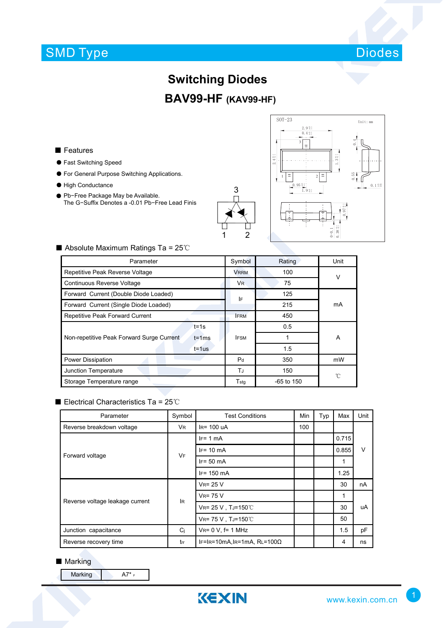## SMD Type



### **Switching Diodes**

### **BAV99-HF (KAV99-HF)**

#### ■ Features

- Fast Switching Speed
- For General Purpose Switching Applications.
- High Conductance
- Pb-Free Package May be Available. The G−Suffix Denotes a -0.01 Pb−Free Lead Finis





#### ■ Absolute Maximum Ratings Ta = 25℃

| Parameter                                               |                | Rating       | Unit |  |
|---------------------------------------------------------|----------------|--------------|------|--|
| Repetitive Peak Reverse Voltage                         |                | 100          | V    |  |
| Continuous Reverse Voltage                              |                | 75           |      |  |
| Forward Current (Double Diode Loaded)                   |                | 125          | mA   |  |
| Forward Current (Single Diode Loaded)                   |                | 215          |      |  |
| Repetitive Peak Forward Current                         | <b>IFRM</b>    | 450          |      |  |
| $t = 1s$                                                | <b>IFSM</b>    | 0.5          |      |  |
| Non-repetitive Peak Forward Surge Current<br>$t = 1$ ms |                |              | A    |  |
| $t = 1$ us                                              |                | 1.5          |      |  |
| Power Dissipation                                       | P <sub>d</sub> | 350          | mW   |  |
| Junction Temperature                                    |                | 150          | °C   |  |
| Storage Temperature range                               |                | $-65$ to 150 |      |  |

#### ■ Electrical Characteristics Ta = 25℃

| Parameter                       | Symbol         | <b>Test Conditions</b>              | Min | Typ | Max   | Unit   |  |
|---------------------------------|----------------|-------------------------------------|-----|-----|-------|--------|--|
| Reverse breakdown voltage       | <b>VR</b>      | $IR = 100 uA$                       | 100 |     |       |        |  |
| Forward voltage                 | <b>VF</b>      | $IF = 1 mA$                         |     |     | 0.715 | $\vee$ |  |
|                                 |                | $IF = 10 \text{ mA}$                |     |     | 0.855 |        |  |
|                                 |                | $IF = 50 mA$                        |     |     | 1     |        |  |
|                                 |                | $IF = 150$ mA                       |     |     | 1.25  |        |  |
| Reverse voltage leakage current | lR.            | $V_R = 25 V$                        |     |     | 30    | nA     |  |
|                                 |                | $V_{R}$ = 75 V                      |     |     | 1     |        |  |
|                                 |                | VR= 25 V, TJ=150℃                   |     |     | 30    | uA     |  |
|                                 |                | VR= 75 V, TJ=150℃                   |     |     | 50    |        |  |
| Junction capacitance            | C <sub>i</sub> | $V_{R} = 0 V$ , f= 1 MHz            |     |     | 1.5   | pF     |  |
| Reverse recovery time           | trr            | IF=IR=10mA, IR=1mA, RL=100 $\Omega$ |     |     | 4     | ns     |  |

#### ■ Marking

Marking  $A7^*$  F